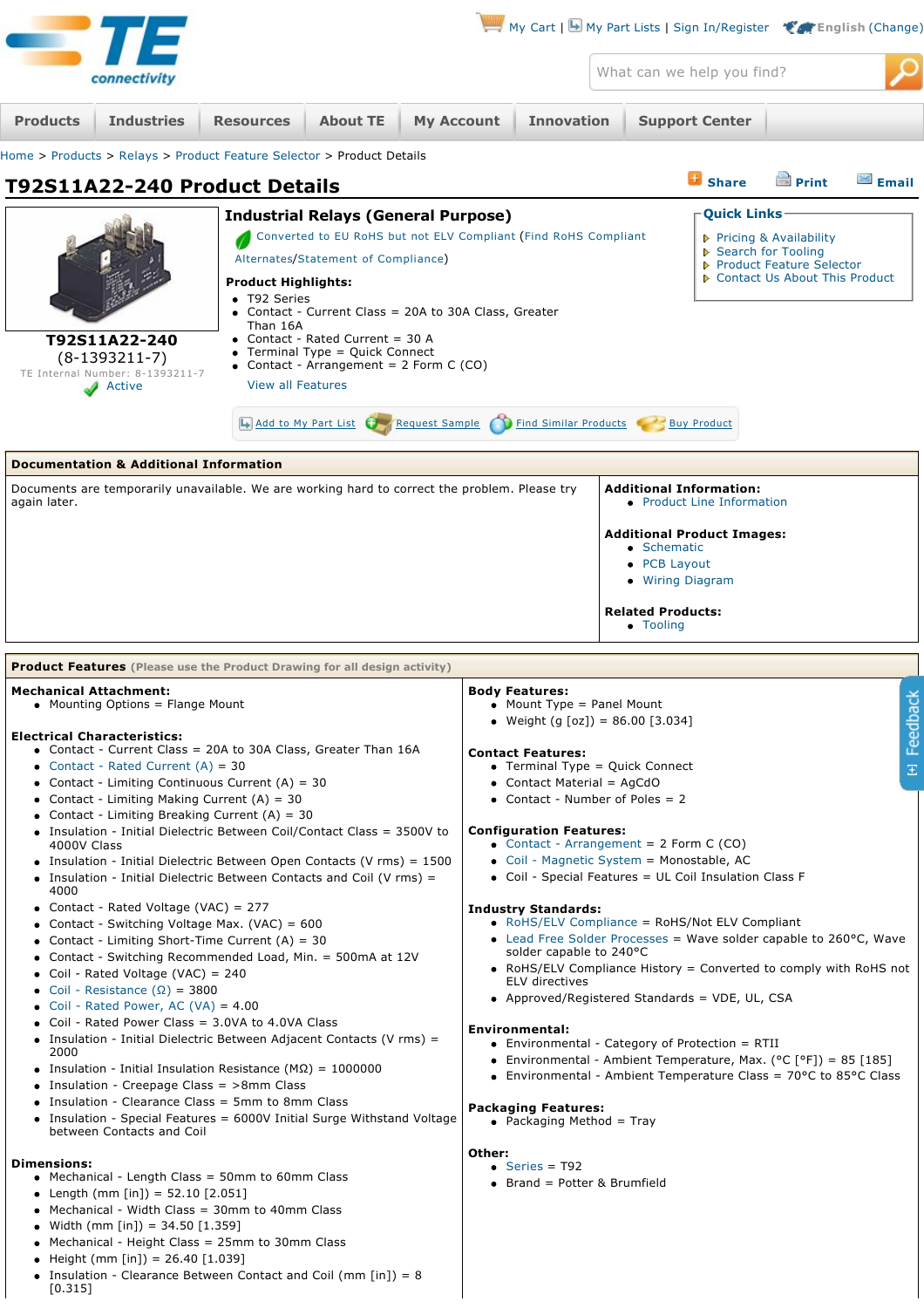<span id="page-0-0"></span>

|                                                                                                                                                                                                                                                                                                                                                                                                                                                                                                                                                                                                                                                                                                                                                                                                                                                                                                                                                                                                                                                                                                                                                                                                                                                                                                                                                                             |                                                                                                                                                                                                                                                                                                                                                                              |                  |                                    |                                                                                                                                                                                                                                                                                                                                                                                                                                                                                                                                                                                                                                                                                                                                                                                                                                                                                                                                                                                                                                                                     |        |                                                                                     |  |                                                                             |                                                                                                   |              | $\blacksquare$ My Cart   $\blacksquare$ My Part Lists   Sign In/Register $\blacksquare$ English (Change) |
|-----------------------------------------------------------------------------------------------------------------------------------------------------------------------------------------------------------------------------------------------------------------------------------------------------------------------------------------------------------------------------------------------------------------------------------------------------------------------------------------------------------------------------------------------------------------------------------------------------------------------------------------------------------------------------------------------------------------------------------------------------------------------------------------------------------------------------------------------------------------------------------------------------------------------------------------------------------------------------------------------------------------------------------------------------------------------------------------------------------------------------------------------------------------------------------------------------------------------------------------------------------------------------------------------------------------------------------------------------------------------------|------------------------------------------------------------------------------------------------------------------------------------------------------------------------------------------------------------------------------------------------------------------------------------------------------------------------------------------------------------------------------|------------------|------------------------------------|---------------------------------------------------------------------------------------------------------------------------------------------------------------------------------------------------------------------------------------------------------------------------------------------------------------------------------------------------------------------------------------------------------------------------------------------------------------------------------------------------------------------------------------------------------------------------------------------------------------------------------------------------------------------------------------------------------------------------------------------------------------------------------------------------------------------------------------------------------------------------------------------------------------------------------------------------------------------------------------------------------------------------------------------------------------------|--------|-------------------------------------------------------------------------------------|--|-----------------------------------------------------------------------------|---------------------------------------------------------------------------------------------------|--------------|----------------------------------------------------------------------------------------------------------|
|                                                                                                                                                                                                                                                                                                                                                                                                                                                                                                                                                                                                                                                                                                                                                                                                                                                                                                                                                                                                                                                                                                                                                                                                                                                                                                                                                                             | connectivity                                                                                                                                                                                                                                                                                                                                                                 |                  |                                    |                                                                                                                                                                                                                                                                                                                                                                                                                                                                                                                                                                                                                                                                                                                                                                                                                                                                                                                                                                                                                                                                     |        |                                                                                     |  |                                                                             | What can we help you find?                                                                        |              |                                                                                                          |
| <b>Products</b>                                                                                                                                                                                                                                                                                                                                                                                                                                                                                                                                                                                                                                                                                                                                                                                                                                                                                                                                                                                                                                                                                                                                                                                                                                                                                                                                                             | <b>Industries</b>                                                                                                                                                                                                                                                                                                                                                            | <b>Resources</b> | <b>About TE</b>                    | <b>My Account</b>                                                                                                                                                                                                                                                                                                                                                                                                                                                                                                                                                                                                                                                                                                                                                                                                                                                                                                                                                                                                                                                   |        | <b>Innovation</b>                                                                   |  |                                                                             | <b>Support Center</b>                                                                             |              |                                                                                                          |
|                                                                                                                                                                                                                                                                                                                                                                                                                                                                                                                                                                                                                                                                                                                                                                                                                                                                                                                                                                                                                                                                                                                                                                                                                                                                                                                                                                             | Home > Products > Relays > Product Feature Selector > Product Details                                                                                                                                                                                                                                                                                                        |                  |                                    |                                                                                                                                                                                                                                                                                                                                                                                                                                                                                                                                                                                                                                                                                                                                                                                                                                                                                                                                                                                                                                                                     |        |                                                                                     |  |                                                                             |                                                                                                   |              |                                                                                                          |
|                                                                                                                                                                                                                                                                                                                                                                                                                                                                                                                                                                                                                                                                                                                                                                                                                                                                                                                                                                                                                                                                                                                                                                                                                                                                                                                                                                             | T92S11A22-240 Product Details                                                                                                                                                                                                                                                                                                                                                |                  |                                    |                                                                                                                                                                                                                                                                                                                                                                                                                                                                                                                                                                                                                                                                                                                                                                                                                                                                                                                                                                                                                                                                     |        |                                                                                     |  |                                                                             | <b>B</b> Share                                                                                    | <b>Print</b> | <b>Email</b>                                                                                             |
| <b>Industrial Relays (General Purpose)</b><br>Converted to EU RoHS but not ELV Compliant (Find RoHS Compliant<br>Alternates/Statement of Compliance)<br>Product Highlights:<br>• T92 Series<br>• Contact - Current Class = 20A to 30A Class, Greater<br>Than 16A<br>• Contact - Rated Current = $30$ A<br>T92S11A22-240<br>• Terminal Type = Quick Connect<br>$(8-1393211-7)$<br>• Contact - Arrangement = $2$ Form C (CO)<br>TE Internal Number: 8-1393211-7<br><b>View all Features</b><br>Active                                                                                                                                                                                                                                                                                                                                                                                                                                                                                                                                                                                                                                                                                                                                                                                                                                                                         |                                                                                                                                                                                                                                                                                                                                                                              |                  |                                    | <b>Quick Links</b><br>▶ Pricing & Availability<br>▶ Search for Tooling<br>▶ Product Feature Selector<br>▶ Contact Us About This Product                                                                                                                                                                                                                                                                                                                                                                                                                                                                                                                                                                                                                                                                                                                                                                                                                                                                                                                             |        |                                                                                     |  |                                                                             |                                                                                                   |              |                                                                                                          |
|                                                                                                                                                                                                                                                                                                                                                                                                                                                                                                                                                                                                                                                                                                                                                                                                                                                                                                                                                                                                                                                                                                                                                                                                                                                                                                                                                                             |                                                                                                                                                                                                                                                                                                                                                                              |                  | Add to My Part List Request Sample |                                                                                                                                                                                                                                                                                                                                                                                                                                                                                                                                                                                                                                                                                                                                                                                                                                                                                                                                                                                                                                                                     |        | <b>Find Similar Products</b>                                                        |  |                                                                             | <b>Buy Product</b>                                                                                |              |                                                                                                          |
|                                                                                                                                                                                                                                                                                                                                                                                                                                                                                                                                                                                                                                                                                                                                                                                                                                                                                                                                                                                                                                                                                                                                                                                                                                                                                                                                                                             | <b>Documentation &amp; Additional Information</b>                                                                                                                                                                                                                                                                                                                            |                  |                                    |                                                                                                                                                                                                                                                                                                                                                                                                                                                                                                                                                                                                                                                                                                                                                                                                                                                                                                                                                                                                                                                                     |        |                                                                                     |  |                                                                             |                                                                                                   |              |                                                                                                          |
| again later.                                                                                                                                                                                                                                                                                                                                                                                                                                                                                                                                                                                                                                                                                                                                                                                                                                                                                                                                                                                                                                                                                                                                                                                                                                                                                                                                                                | Documents are temporarily unavailable. We are working hard to correct the problem. Please try                                                                                                                                                                                                                                                                                |                  |                                    |                                                                                                                                                                                                                                                                                                                                                                                                                                                                                                                                                                                                                                                                                                                                                                                                                                                                                                                                                                                                                                                                     |        |                                                                                     |  | • Schematic<br>• PCB Layout<br>• Wiring Diagram<br><b>Related Products:</b> | <b>Additional Information:</b><br>• Product Line Information<br><b>Additional Product Images:</b> |              |                                                                                                          |
|                                                                                                                                                                                                                                                                                                                                                                                                                                                                                                                                                                                                                                                                                                                                                                                                                                                                                                                                                                                                                                                                                                                                                                                                                                                                                                                                                                             |                                                                                                                                                                                                                                                                                                                                                                              |                  |                                    |                                                                                                                                                                                                                                                                                                                                                                                                                                                                                                                                                                                                                                                                                                                                                                                                                                                                                                                                                                                                                                                                     |        |                                                                                     |  | • Tooling                                                                   |                                                                                                   |              |                                                                                                          |
|                                                                                                                                                                                                                                                                                                                                                                                                                                                                                                                                                                                                                                                                                                                                                                                                                                                                                                                                                                                                                                                                                                                                                                                                                                                                                                                                                                             | <b>Product Features</b> (Please use the Product Drawing for all design activity)                                                                                                                                                                                                                                                                                             |                  |                                    |                                                                                                                                                                                                                                                                                                                                                                                                                                                                                                                                                                                                                                                                                                                                                                                                                                                                                                                                                                                                                                                                     |        |                                                                                     |  |                                                                             |                                                                                                   |              |                                                                                                          |
| <b>Mechanical Attachment:</b><br>Mounting Options = Flange Mount<br><b>Electrical Characteristics:</b><br>• Contact - Current Class = 20A to 30A Class, Greater Than 16A<br>• Contact - Rated Current $(A) = 30$<br>• Contact - Limiting Continuous Current $(A) = 30$<br>• Contact - Limiting Making Current $(A) = 30$<br>• Contact - Limiting Breaking Current $(A) = 30$<br>• Insulation - Initial Dielectric Between Coil/Contact Class = 3500V to<br>4000V Class<br>• Insulation - Initial Dielectric Between Open Contacts (V rms) = 1500<br>• Insulation - Initial Dielectric Between Contacts and Coil (V rms) =<br>4000<br>• Contact - Rated Voltage (VAC) = 277<br>• Contact - Switching Voltage Max. (VAC) = $600$<br>• Contact - Limiting Short-Time Current $(A) = 30$<br>• Contact - Switching Recommended Load, Min. = 500mA at 12V<br>• Coil - Rated Voltage (VAC) = 240<br>• Coil - Resistance $(\Omega)$ = 3800<br>• Coil - Rated Power, AC (VA) = $4.00$<br>Coil - Rated Power Class = $3.0VA$ to 4.0VA Class<br>• Insulation - Initial Dielectric Between Adjacent Contacts (V rms) =<br>2000<br>• Insulation - Initial Insulation Resistance ( $M\Omega$ ) = 1000000<br>• Insulation - Creepage Class = $>8$ mm Class<br>• Insulation - Clearance Class = 5mm to 8mm Class<br>• Insulation - Special Features = 6000V Initial Surge Withstand Voltage |                                                                                                                                                                                                                                                                                                                                                                              |                  |                                    | <b>Body Features:</b><br>퐁<br>• Mount Type = Panel Mount<br>Feedba<br>• Weight $(g [oz]) = 86.00 [3.034]$<br><b>Contact Features:</b><br>• Terminal Type = Quick Connect<br>$\Xi$<br>• Contact Material = AgCdO<br>• Contact - Number of Poles $= 2$<br><b>Configuration Features:</b><br>• Contact - Arrangement = $2$ Form C (CO)<br>• Coil - Magnetic System = Monostable, AC<br>• Coil - Special Features = UL Coil Insulation Class F<br><b>Industry Standards:</b><br>• RoHS/ELV Compliance = RoHS/Not ELV Compliant<br>• Lead Free Solder Processes = Wave solder capable to $260^{\circ}$ C, Wave<br>solder capable to 240°C<br>• RoHS/ELV Compliance History = Converted to comply with RoHS not<br>ELV directives<br>• Approved/Registered Standards = VDE, UL, CSA<br>Environmental:<br>• Environmental - Category of Protection = RTII<br>• Environmental - Ambient Temperature, Max. ( $^{\circ}$ C [ $^{\circ}$ F]) = 85 [185]<br>• Environmental - Ambient Temperature Class = $70^{\circ}$ C to 85 $^{\circ}$ C Class<br><b>Packaging Features:</b> |        |                                                                                     |  |                                                                             |                                                                                                   |              |                                                                                                          |
| <b>Dimensions:</b><br>$[0.315]$                                                                                                                                                                                                                                                                                                                                                                                                                                                                                                                                                                                                                                                                                                                                                                                                                                                                                                                                                                                                                                                                                                                                                                                                                                                                                                                                             | between Contacts and Coil<br>• Mechanical - Length Class = 50mm to 60mm Class<br>• Length (mm [in]) = $52.10$ [2.051]<br>• Mechanical - Width Class = 30mm to 40mm Class<br>• Width (mm [in]) = 34.50 $[1.359]$<br>• Mechanical - Height Class = 25mm to 30mm Class<br>• Height (mm [in]) = 26.40 [1.039]<br>• Insulation - Clearance Between Contact and Coil (mm [in]) = 8 |                  |                                    |                                                                                                                                                                                                                                                                                                                                                                                                                                                                                                                                                                                                                                                                                                                                                                                                                                                                                                                                                                                                                                                                     | Other: | • Packaging Method = Tray<br>$\bullet$ Series = T92<br>• Brand = Potter & Brumfield |  |                                                                             |                                                                                                   |              |                                                                                                          |